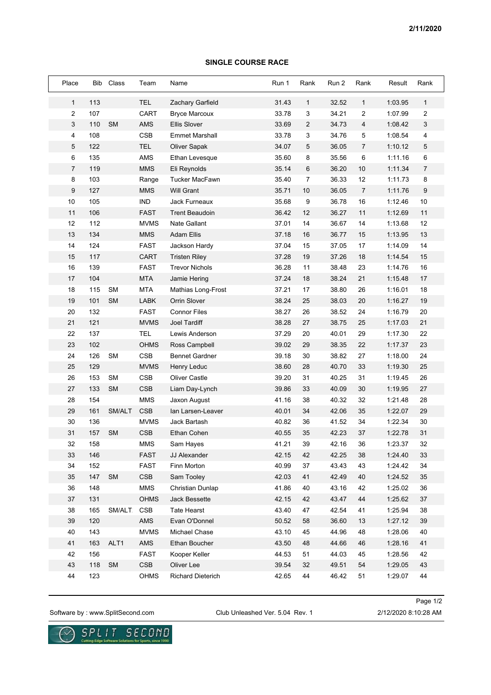## **SINGLE COURSE RACE**

| Place | Bib | Class     | Team           | Name                      | Run 1 | Rank           | Run 2 | Rank           | Result  | Rank |
|-------|-----|-----------|----------------|---------------------------|-------|----------------|-------|----------------|---------|------|
| 1     | 113 |           | TEL            | Zachary Garfield          | 31.43 | 1              | 32.52 | $\mathbf{1}$   | 1:03.95 | 1    |
| 2     | 107 |           | CART           | <b>Bryce Marcoux</b>      | 33.78 | 3              | 34.21 | 2              | 1:07.99 | 2    |
| 3     | 110 | <b>SM</b> | <b>AMS</b>     | <b>Ellis Slover</b>       | 33.69 | $\overline{2}$ | 34.73 | 4              | 1:08.42 | 3    |
| 4     | 108 |           | <b>CSB</b>     | <b>Emmet Marshall</b>     | 33.78 | 3              | 34.76 | 5              | 1:08.54 | 4    |
| 5     | 122 |           | <b>TEL</b>     | Oliver Sapak              | 34.07 | 5              | 36.05 | 7              | 1:10.12 | 5    |
| 6     | 135 |           | AMS            | Ethan Levesque            | 35.60 | 8              | 35.56 | 6              | 1:11.16 | 6    |
| 7     | 119 |           | <b>MMS</b>     | Eli Reynolds              | 35.14 | 6              | 36.20 | 10             | 1:11.34 | 7    |
| 8     | 103 |           | Range          | <b>Tucker MacFawn</b>     | 35.40 | $\overline{7}$ | 36.33 | 12             | 1:11.73 | 8    |
| 9     | 127 |           | <b>MMS</b>     | <b>Will Grant</b>         | 35.71 | 10             | 36.05 | $\overline{7}$ | 1:11.76 | 9    |
| 10    | 105 |           | <b>IND</b>     | Jack Furneaux             | 35.68 | 9              | 36.78 | 16             | 1:12.46 | 10   |
| 11    | 106 |           | <b>FAST</b>    | <b>Trent Beaudoin</b>     | 36.42 | 12             | 36.27 | 11             | 1:12.69 | 11   |
| 12    | 112 |           | <b>MVMS</b>    | <b>Nate Gallant</b>       | 37.01 | 14             | 36.67 | 14             | 1:13.68 | 12   |
| 13    | 134 |           | <b>MMS</b>     | <b>Adam Ellis</b>         | 37.18 | 16             | 36.77 | 15             | 1:13.95 | 13   |
| 14    | 124 |           | <b>FAST</b>    | Jackson Hardy             | 37.04 | 15             | 37.05 | 17             | 1:14.09 | 14   |
| 15    | 117 |           | <b>CART</b>    | <b>Tristen Riley</b>      | 37.28 | 19             | 37.26 | 18             | 1:14.54 | 15   |
| 16    | 139 |           | <b>FAST</b>    | <b>Trevor Nichols</b>     | 36.28 | 11             | 38.48 | 23             | 1:14.76 | 16   |
| 17    | 104 |           | <b>MTA</b>     | Jamie Hering              | 37.24 | 18             | 38.24 | 21             | 1:15.48 | 17   |
| 18    | 115 | <b>SM</b> | <b>MTA</b>     | <b>Mathias Long-Frost</b> | 37.21 | 17             | 38.80 | 26             | 1:16.01 | 18   |
| 19    | 101 | <b>SM</b> | <b>LABK</b>    | Orrin Slover              | 38.24 | 25             | 38.03 | 20             | 1:16.27 | 19   |
| 20    | 132 |           | <b>FAST</b>    | <b>Connor Files</b>       | 38.27 | 26             | 38.52 | 24             | 1:16.79 | 20   |
| 21    | 121 |           | <b>MVMS</b>    | Joel Tardiff              | 38.28 | 27             | 38.75 | 25             | 1:17.03 | 21   |
| 22    | 137 |           | <b>TEL</b>     | Lewis Anderson            | 37.29 | 20             | 40.01 | 29             | 1:17.30 | 22   |
| 23    | 102 |           | <b>OHMS</b>    | Ross Campbell             | 39.02 | 29             | 38.35 | 22             | 1:17.37 | 23   |
| 24    | 126 | <b>SM</b> | <b>CSB</b>     | <b>Bennet Gardner</b>     | 39.18 | 30             | 38.82 | 27             | 1:18.00 | 24   |
| 25    | 129 |           | <b>MVMS</b>    | Henry Leduc               | 38.60 | 28             | 40.70 | 33             | 1:19.30 | 25   |
| 26    | 153 | <b>SM</b> | <b>CSB</b>     | <b>Oliver Castle</b>      | 39.20 | 31             | 40.25 | 31             | 1:19.45 | 26   |
| 27    | 133 | <b>SM</b> | <b>CSB</b>     | Liam Day-Lynch            | 39.86 | 33             | 40.09 | 30             | 1:19.95 | 27   |
| 28    | 154 |           | <b>MMS</b>     | Jaxon August              | 41.16 | 38             | 40.32 | 32             | 1:21.48 | 28   |
| 29    | 161 | SM/ALT    | <b>CSB</b>     | Ian Larsen-Leaver         | 40.01 | 34             | 42.06 | 35             | 1:22.07 | 29   |
| 30    | 136 |           | <b>MVMS</b>    | Jack Bartash              | 40.82 | 36             | 41.52 | 34             | 1:22.34 | 30   |
| 31    | 157 | <b>SM</b> | <b>CSB</b>     | Ethan Cohen               | 40.55 | 35             | 42.23 | 37             | 1:22.78 | 31   |
| 32    | 158 |           | MMS            | Sam Hayes                 | 41.21 | 39             | 42.16 | 36             | 1:23.37 | 32   |
| 33    | 146 |           | <b>FAST</b>    | JJ Alexander              | 42.15 | 42             | 42.25 | 38             | 1:24.40 | 33   |
| 34    | 152 |           | <b>FAST</b>    | Finn Morton               | 40.99 | 37             | 43.43 | 43             | 1:24.42 | 34   |
| 35    | 147 | <b>SM</b> | <b>CSB</b>     | Sam Tooley                | 42.03 | 41             | 42.49 | 40             | 1:24.52 | 35   |
| 36    | 148 |           | <b>MMS</b>     | Christian Dunlap          | 41.86 | 40             | 43.16 | 42             | 1:25.02 | 36   |
| 37    | 131 |           | <b>OHMS</b>    | Jack Bessette             | 42.15 | 42             | 43.47 | 44             | 1:25.62 | 37   |
| 38    | 165 | SM/ALT    | CSB            | <b>Tate Hearst</b>        | 43.40 | 47             | 42.54 | 41             | 1:25.94 | 38   |
| 39    | 120 |           | AMS            | Evan O'Donnel             | 50.52 | 58             | 36.60 | 13             | 1:27.12 | 39   |
| 40    | 143 |           | <b>MVMS</b>    | Michael Chase             | 43.10 | 45             | 44.96 | 48             | 1:28.06 | 40   |
| 41    | 163 | ALT1      | $\mathsf{AMS}$ | Ethan Boucher             | 43.50 | 48             | 44.66 | 46             | 1:28.16 | 41   |
| 42    | 156 |           | <b>FAST</b>    | Kooper Keller             | 44.53 | 51             | 44.03 | 45             | 1:28.56 | 42   |
| 43    | 118 | <b>SM</b> | CSB            | Oliver Lee                | 39.54 | 32             | 49.51 | 54             | 1:29.05 | 43   |
| 44    | 123 |           | <b>OHMS</b>    | Richard Dieterich         | 42.65 | 44             | 46.42 | 51             | 1:29.07 | 44   |

Software by : www.SplitSecond.com Club Unleashed Ver. 5.04 Rev. 1 2/12/2020 8:10:28 AM

Page 1/2